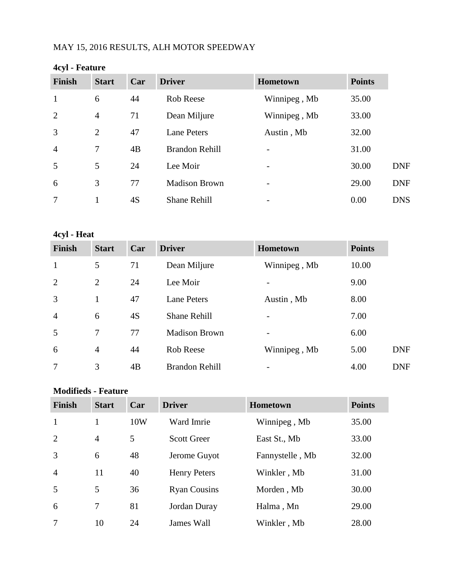# MAY 15, 2016 RESULTS, ALH MOTOR SPEEDWAY

| $\mathbf{v}$ research |                |     |                       |              |               |            |
|-----------------------|----------------|-----|-----------------------|--------------|---------------|------------|
| Finish                | <b>Start</b>   | Car | <b>Driver</b>         | Hometown     | <b>Points</b> |            |
| $\mathbf{1}$          | 6              | 44  | Rob Reese             | Winnipeg, Mb | 35.00         |            |
| 2                     | $\overline{4}$ | 71  | Dean Miljure          | Winnipeg, Mb | 33.00         |            |
| 3                     | $\overline{2}$ | 47  | <b>Lane Peters</b>    | Austin, Mb   | 32.00         |            |
| $\overline{4}$        | 7              | 4B  | <b>Brandon Rehill</b> |              | 31.00         |            |
| 5                     | 5              | 24  | Lee Moir              |              | 30.00         | <b>DNF</b> |
| 6                     | 3              | 77  | <b>Madison Brown</b>  |              | 29.00         | <b>DNF</b> |
| 7                     |                | 4S  | Shane Rehill          |              | 0.00          | <b>DNS</b> |

#### **4cyl - Feature**

#### **4cyl - Heat**

| <b>Finish</b>  | <b>Start</b>   | Car | <b>Driver</b>         | <b>Hometown</b> | <b>Points</b> |
|----------------|----------------|-----|-----------------------|-----------------|---------------|
| $\mathbf{1}$   | 5              | 71  | Dean Miljure          | Winnipeg, Mb    | 10.00         |
| 2              | $\overline{2}$ | 24  | Lee Moir              |                 | 9.00          |
| 3              |                | 47  | <b>Lane Peters</b>    | Austin, Mb      | 8.00          |
| $\overline{4}$ | 6              | 4S  | <b>Shane Rehill</b>   |                 | 7.00          |
| 5              | 7              | 77  | <b>Madison Brown</b>  |                 | 6.00          |
| 6              | $\overline{4}$ | 44  | Rob Reese             | Winnipeg, Mb    | 5.00          |
| 7              | 3              | 4B  | <b>Brandon Rehill</b> |                 | 4.00          |

#### **Modifieds - Feature**

| <b>Finish</b>  | <b>Start</b>   | Car | <b>Driver</b>       | Hometown        | <b>Points</b> |
|----------------|----------------|-----|---------------------|-----------------|---------------|
| $\mathbf{1}$   |                | 10W | Ward Imrie          | Winnipeg, Mb    | 35.00         |
| $\overline{2}$ | $\overline{4}$ | 5   | <b>Scott Greer</b>  | East St., Mb    | 33.00         |
| 3              | 6              | 48  | Jerome Guyot        | Fannystelle, Mb | 32.00         |
| $\overline{4}$ | 11             | 40  | <b>Henry Peters</b> | Winkler, Mb     | 31.00         |
| 5              | 5              | 36  | <b>Ryan Cousins</b> | Morden, Mb      | 30.00         |
| 6              | 7              | 81  | Jordan Duray        | Halma, Mn       | 29.00         |
| 7              | 10             | 24  | James Wall          | Winkler, Mb     | 28.00         |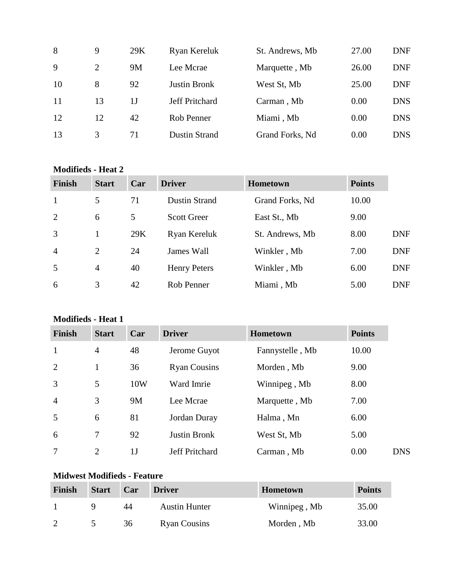| 8  | 9              | 29K | Ryan Kereluk          | St. Andrews, Mb | 27.00 | <b>DNF</b> |
|----|----------------|-----|-----------------------|-----------------|-------|------------|
| 9  | $\overline{2}$ | 9M  | Lee Mcrae             | Marquette, Mb   | 26.00 | <b>DNF</b> |
| 10 | 8              | 92  | <b>Justin Bronk</b>   | West St, Mb     | 25.00 | <b>DNF</b> |
| 11 | 13             | 1.J | <b>Jeff Pritchard</b> | Carman, Mb      | 0.00  | <b>DNS</b> |
| 12 | 12             | 42  | Rob Penner            | Miami, Mb       | 0.00  | <b>DNS</b> |
| 13 | 3              | 71  | <b>Dustin Strand</b>  | Grand Forks, Nd | 0.00  | <b>DNS</b> |

#### **Modifieds - Heat 2**

| <b>Finish</b>  | <b>Start</b>   | Car | <b>Driver</b>        | <b>Hometown</b> | <b>Points</b> |            |
|----------------|----------------|-----|----------------------|-----------------|---------------|------------|
| $\mathbf{1}$   | 5              | 71  | <b>Dustin Strand</b> | Grand Forks, Nd | 10.00         |            |
| 2              | 6              | 5   | <b>Scott Greer</b>   | East St., Mb    | 9.00          |            |
| 3              |                | 29K | Ryan Kereluk         | St. Andrews, Mb | 8.00          | <b>DNF</b> |
| $\overline{4}$ | $\overline{2}$ | 24  | James Wall           | Winkler, Mb     | 7.00          | <b>DNF</b> |
| .5             | $\overline{4}$ | 40  | <b>Henry Peters</b>  | Winkler, Mb     | 6.00          | <b>DNF</b> |
| 6              | 3              | 42  | Rob Penner           | Miami, Mb       | 5.00          | <b>DNF</b> |

# **Modifieds - Heat 1**

| Finish         | <b>Start</b>   | Car            | <b>Driver</b>         | Hometown        | <b>Points</b>      |
|----------------|----------------|----------------|-----------------------|-----------------|--------------------|
| $\mathbf{1}$   | $\overline{4}$ | 48             | Jerome Guyot          | Fannystelle, Mb | 10.00              |
| 2              |                | 36             | <b>Ryan Cousins</b>   | Morden, Mb      | 9.00               |
| 3              | 5              | 10W            | Ward Imrie            | Winnipeg, Mb    | 8.00               |
| $\overline{4}$ | 3              | <b>9M</b>      | Lee Mcrae             | Marquette, Mb   | 7.00               |
| 5              | 6              | 81             | Jordan Duray          | Halma, Mn       | 6.00               |
| 6              | 7              | 92             | Justin Bronk          | West St, Mb     | 5.00               |
| 7              | $\overline{2}$ | 1 <sub>J</sub> | <b>Jeff Pritchard</b> | Carman, Mb      | 0.00<br><b>DNS</b> |

# **Midwest Modifieds - Feature**

| <b>Finish</b> | <b>Start</b> | Car | <b>Driver</b>        | <b>Hometown</b> | <b>Points</b> |
|---------------|--------------|-----|----------------------|-----------------|---------------|
|               |              | 44  | <b>Austin Hunter</b> | Winnipeg, Mb    | 35.00         |
|               |              | 36  | <b>Ryan Cousins</b>  | Morden, Mb      | 33.00         |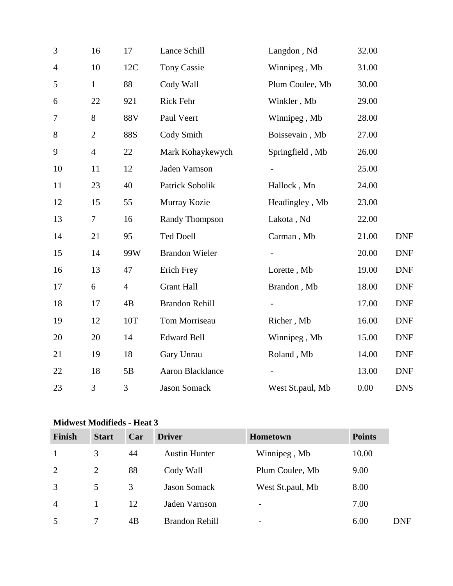| 3              | 16             | 17             | Lance Schill            | Langdon, Nd              | 32.00 |            |
|----------------|----------------|----------------|-------------------------|--------------------------|-------|------------|
| $\overline{4}$ | 10             | 12C            | <b>Tony Cassie</b>      | Winnipeg, Mb             | 31.00 |            |
| 5              | $\mathbf{1}$   | 88             | Cody Wall               | Plum Coulee, Mb          | 30.00 |            |
| 6              | 22             | 921            | Rick Fehr               | Winkler, Mb              | 29.00 |            |
| 7              | 8              | 88V            | Paul Veert              | Winnipeg, Mb             | 28.00 |            |
| 8              | $\mathfrak{2}$ | <b>88S</b>     | Cody Smith              | Boissevain, Mb           | 27.00 |            |
| 9              | $\overline{4}$ | 22             | Mark Kohaykewych        | Springfield, Mb          | 26.00 |            |
| 10             | 11             | 12             | Jaden Varnson           | $\overline{\phantom{a}}$ | 25.00 |            |
| 11             | 23             | 40             | Patrick Sobolik         | Hallock, Mn              | 24.00 |            |
| 12             | 15             | 55             | Murray Kozie            | Headingley, Mb           | 23.00 |            |
| 13             | 7              | 16             | <b>Randy Thompson</b>   | Lakota, Nd               | 22.00 |            |
| 14             | 21             | 95             | <b>Ted Doell</b>        | Carman, Mb               | 21.00 | <b>DNF</b> |
| 15             | 14             | 99W            | <b>Brandon Wieler</b>   | $\overline{\phantom{a}}$ | 20.00 | <b>DNF</b> |
| 16             | 13             | 47             | Erich Frey              | Lorette, Mb              | 19.00 | <b>DNF</b> |
| 17             | 6              | $\overline{4}$ | <b>Grant Hall</b>       | Brandon, Mb              | 18.00 | <b>DNF</b> |
| 18             | 17             | 4B             | <b>Brandon Rehill</b>   |                          | 17.00 | <b>DNF</b> |
| 19             | 12             | 10T            | Tom Morriseau           | Richer, Mb               | 16.00 | <b>DNF</b> |
| 20             | 20             | 14             | <b>Edward Bell</b>      | Winnipeg, Mb             | 15.00 | <b>DNF</b> |
| 21             | 19             | 18             | Gary Unrau              | Roland, Mb               | 14.00 | <b>DNF</b> |
| $22\,$         | 18             | 5B             | <b>Aaron Blacklance</b> |                          | 13.00 | <b>DNF</b> |
| 23             | 3              | 3              | <b>Jason Somack</b>     | West St.paul, Mb         | 0.00  | <b>DNS</b> |
|                |                |                |                         |                          |       |            |

## **Midwest Modifieds - Heat 3**

| <b>Finish</b>  | <b>Start</b>   | Car | <b>Driver</b>         | Hometown                 | <b>Points</b> |
|----------------|----------------|-----|-----------------------|--------------------------|---------------|
| 1              | 3              | 44  | <b>Austin Hunter</b>  | Winnipeg, Mb             | 10.00         |
| 2              | $\overline{2}$ | 88  | Cody Wall             | Plum Coulee, Mb          | 9.00          |
| 3              | 5              | 3   | <b>Jason Somack</b>   | West St.paul, Mb         | 8.00          |
| $\overline{4}$ |                | 12  | Jaden Varnson         | $\overline{\phantom{a}}$ | 7.00          |
| 5              | 7              | 4B  | <b>Brandon Rehill</b> | $\overline{\phantom{a}}$ | 6.00          |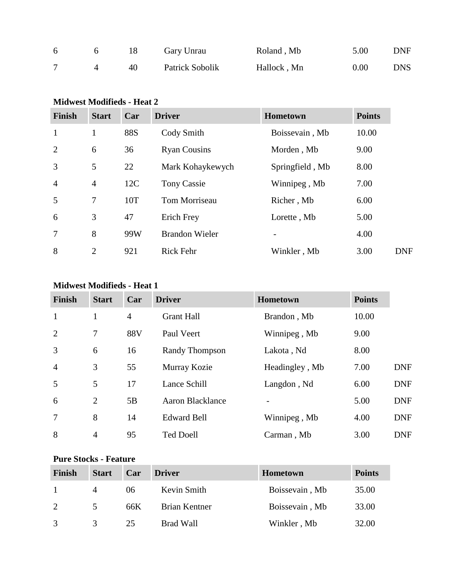| 6 |    | Gary Unrau      | Roland, Mb  | 5.00 | <b>DNF</b> |
|---|----|-----------------|-------------|------|------------|
|   | 40 | Patrick Sobolik | Hallock, Mn | 0.00 | <b>DNS</b> |

## **Midwest Modifieds - Heat 2**

| <b>Finish</b>  | <b>Start</b>   | Car        | <b>Driver</b>         | <b>Hometown</b> | <b>Points</b> |
|----------------|----------------|------------|-----------------------|-----------------|---------------|
| $\mathbf{1}$   | 1              | <b>88S</b> | Cody Smith            | Boissevain, Mb  | 10.00         |
| 2              | 6              | 36         | <b>Ryan Cousins</b>   | Morden, Mb      | 9.00          |
| 3              | 5              | 22         | Mark Kohaykewych      | Springfield, Mb | 8.00          |
| $\overline{4}$ | $\overline{4}$ | 12C        | Tony Cassie           | Winnipeg, Mb    | 7.00          |
| 5              | 7              | 10T        | Tom Morriseau         | Richer, Mb      | 6.00          |
| 6              | 3              | 47         | <b>Erich Frey</b>     | Lorette, Mb     | 5.00          |
| $\overline{7}$ | 8              | 99W        | <b>Brandon Wieler</b> |                 | 4.00          |
| 8              | $\overline{2}$ | 921        | <b>Rick Fehr</b>      | Winkler, Mb     | 3.00          |

#### **Midwest Modifieds - Heat 1**

| <b>Finish</b>  | <b>Start</b>   | Car            | <b>Driver</b>         | Hometown       | <b>Points</b> |            |
|----------------|----------------|----------------|-----------------------|----------------|---------------|------------|
| $\mathbf{1}$   | $\mathbf{1}$   | $\overline{4}$ | <b>Grant Hall</b>     | Brandon, Mb    | 10.00         |            |
| 2              | $\overline{7}$ | 88V            | Paul Veert            | Winnipeg, Mb   | 9.00          |            |
| 3              | 6              | 16             | <b>Randy Thompson</b> | Lakota, Nd     | 8.00          |            |
| $\overline{4}$ | 3              | 55             | Murray Kozie          | Headingley, Mb | 7.00          | <b>DNF</b> |
| 5              | 5              | 17             | Lance Schill          | Langdon, Nd    | 6.00          | <b>DNF</b> |
| 6              | $\overline{2}$ | 5B             | Aaron Blacklance      |                | 5.00          | <b>DNF</b> |
| $\overline{7}$ | 8              | 14             | <b>Edward Bell</b>    | Winnipeg, Mb   | 4.00          | <b>DNF</b> |
| 8              | $\overline{4}$ | 95             | <b>Ted Doell</b>      | Carman, Mb     | 3.00          | <b>DNF</b> |

#### **Pure Stocks - Feature**

| Finish        | <b>Start</b> | Car | <b>Driver</b> | <b>Hometown</b> | <b>Points</b> |
|---------------|--------------|-----|---------------|-----------------|---------------|
|               | 4            | 06  | Kevin Smith   | Boissevain, Mb  | 35.00         |
| 2             | 5            | 66K | Brian Kentner | Boissevain, Mb  | 33.00         |
| $\mathcal{R}$ |              | 25  | Brad Wall     | Winkler, Mb     | 32.00         |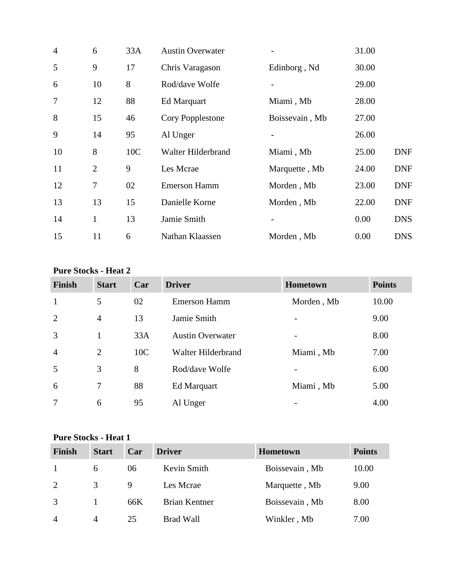| $\overline{4}$ | 6              | 33A | <b>Austin Overwater</b> |                | 31.00 |            |
|----------------|----------------|-----|-------------------------|----------------|-------|------------|
| 5              | 9              | 17  | Chris Varagason         | Edinborg, Nd   | 30.00 |            |
| 6              | 10             | 8   | Rod/dave Wolfe          |                | 29.00 |            |
| 7              | 12             | 88  | Ed Marquart             | Miami, Mb      | 28.00 |            |
| 8              | 15             | 46  | Cory Popplestone        | Boissevain, Mb | 27.00 |            |
| 9              | 14             | 95  | Al Unger                |                | 26.00 |            |
| 10             | 8              | 10C | Walter Hilderbrand      | Miami, Mb      | 25.00 | <b>DNF</b> |
| 11             | $\overline{2}$ | 9   | Les Mcrae               | Marquette, Mb  | 24.00 | <b>DNF</b> |
| 12             | 7              | 02  | <b>Emerson Hamm</b>     | Morden, Mb     | 23.00 | <b>DNF</b> |
| 13             | 13             | 15  | Danielle Korne          | Morden, Mb     | 22.00 | <b>DNF</b> |
| 14             | $\mathbf{1}$   | 13  | Jamie Smith             |                | 0.00  | <b>DNS</b> |
| 15             | 11             | 6   | Nathan Klaassen         | Morden, Mb     | 0.00  | <b>DNS</b> |

#### **Pure Stocks - Heat 2**

| Finish         | <b>Start</b>   | Car             | <b>Driver</b>           | <b>Hometown</b>              | <b>Points</b> |
|----------------|----------------|-----------------|-------------------------|------------------------------|---------------|
| $\mathbf{1}$   | 5              | 02              | <b>Emerson Hamm</b>     | Morden, Mb                   | 10.00         |
| 2              | $\overline{4}$ | 13              | Jamie Smith             | $\overline{\phantom{0}}$     | 9.00          |
| $\overline{3}$ | 1              | 33A             | <b>Austin Overwater</b> | $\overline{\phantom{0}}$     | 8.00          |
| $\overline{4}$ | 2              | 10 <sub>C</sub> | Walter Hilderbrand      | Miami, Mb                    | 7.00          |
| 5              | 3              | 8               | Rod/dave Wolfe          | $\qquad \qquad \blacksquare$ | 6.00          |
| 6              | 7              | 88              | Ed Marquart             | Miami, Mb                    | 5.00          |
| 7              | 6              | 95              | Al Unger                | $\qquad \qquad \blacksquare$ | 4.00          |

## **Pure Stocks - Heat 1**

| <b>Finish</b>  | <b>Start</b>   | Car | <b>Driver</b>        | <b>Hometown</b> | <b>Points</b> |
|----------------|----------------|-----|----------------------|-----------------|---------------|
|                | 6              | 06  | Kevin Smith          | Boissevain, Mb  | 10.00         |
| 2              | 3              | 9   | Les Mcrae            | Marquette, Mb   | 9.00          |
| 3              |                | 66K | <b>Brian Kentner</b> | Boissevain, Mb  | 8.00          |
| $\overline{4}$ | $\overline{A}$ | 25  | <b>Brad Wall</b>     | Winkler, Mb     | 7.00          |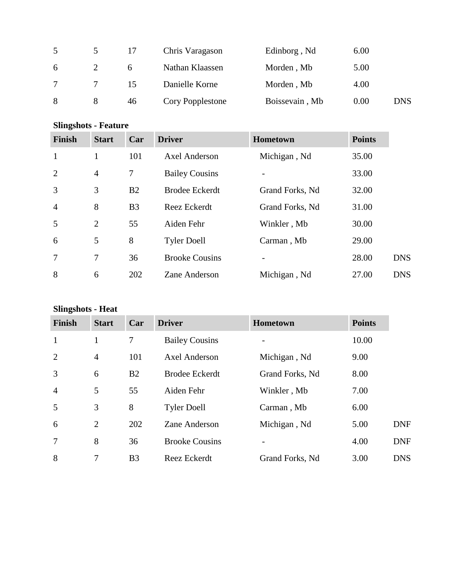|   |   | 17 | Chris Varagason  | Edinborg, Nd   | 6.00 |            |
|---|---|----|------------------|----------------|------|------------|
| 6 |   |    | Nathan Klaassen  | Morden, Mb     | 5.00 |            |
|   |   | 15 | Danielle Korne   | Morden, Mb     | 4.00 |            |
| 8 | 8 | 46 | Cory Popplestone | Boissevain, Mb | 0.00 | <b>DNS</b> |

# **Slingshots - Feature**

| <b>Finish</b>  | <b>Start</b>   | Car            | <b>Driver</b>         | <b>Hometown</b> | <b>Points</b> |            |
|----------------|----------------|----------------|-----------------------|-----------------|---------------|------------|
| $\mathbf{1}$   | 1              | 101            | Axel Anderson         | Michigan, Nd    | 35.00         |            |
| $\overline{2}$ | $\overline{4}$ | 7              | <b>Bailey Cousins</b> |                 | 33.00         |            |
| $\overline{3}$ | 3              | B2             | <b>Brodee Eckerdt</b> | Grand Forks, Nd | 32.00         |            |
| $\overline{4}$ | 8              | B <sub>3</sub> | Reez Eckerdt          | Grand Forks, Nd | 31.00         |            |
| 5              | 2              | 55             | Aiden Fehr            | Winkler, Mb     | 30.00         |            |
| 6              | 5              | 8              | <b>Tyler Doell</b>    | Carman, Mb      | 29.00         |            |
| 7              | 7              | 36             | <b>Brooke Cousins</b> |                 | 28.00         | <b>DNS</b> |
| 8              | 6              | 202            | Zane Anderson         | Michigan, Nd    | 27.00         | <b>DNS</b> |

# **Slingshots - Heat**

| <b>Finish</b>  | <b>Start</b>   | Car            | <b>Driver</b>         | <b>Hometown</b> | <b>Points</b> |            |
|----------------|----------------|----------------|-----------------------|-----------------|---------------|------------|
| $\mathbf{1}$   | 1              | 7              | <b>Bailey Cousins</b> |                 | 10.00         |            |
| 2              | $\overline{4}$ | 101            | <b>Axel Anderson</b>  | Michigan, Nd    | 9.00          |            |
| 3              | 6              | B2             | <b>Brodee Eckerdt</b> | Grand Forks, Nd | 8.00          |            |
| $\overline{4}$ | 5              | 55             | Aiden Fehr            | Winkler, Mb     | 7.00          |            |
| 5              | 3              | 8              | <b>Tyler Doell</b>    | Carman, Mb      | 6.00          |            |
| 6              | $\overline{2}$ | 202            | Zane Anderson         | Michigan, Nd    | 5.00          | <b>DNF</b> |
| $\overline{7}$ | 8              | 36             | <b>Brooke Cousins</b> |                 | 4.00          | <b>DNF</b> |
| 8              | 7              | B <sub>3</sub> | Reez Eckerdt          | Grand Forks, Nd | 3.00          | <b>DNS</b> |